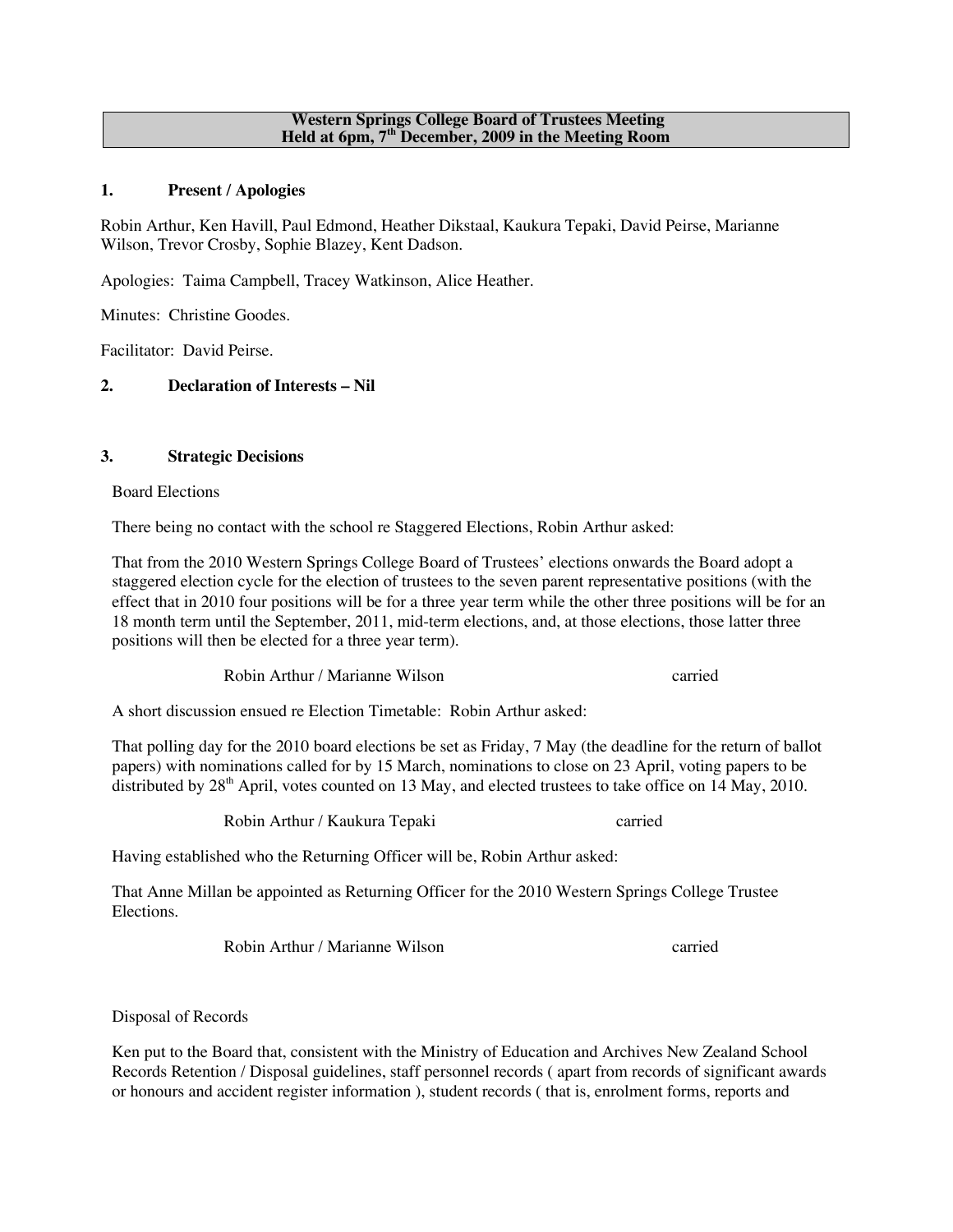#### **Western Springs College Board of Trustees Meeting Held at 6pm, 7th December, 2009 in the Meeting Room**

## **1. Present / Apologies**

Robin Arthur, Ken Havill, Paul Edmond, Heather Dikstaal, Kaukura Tepaki, David Peirse, Marianne Wilson, Trevor Crosby, Sophie Blazey, Kent Dadson.

Apologies: Taima Campbell, Tracey Watkinson, Alice Heather.

Minutes: Christine Goodes.

Facilitator: David Peirse.

# **2. Declaration of Interests – Nil**

### **3. Strategic Decisions**

Board Elections

There being no contact with the school re Staggered Elections, Robin Arthur asked:

That from the 2010 Western Springs College Board of Trustees' elections onwards the Board adopt a staggered election cycle for the election of trustees to the seven parent representative positions (with the effect that in 2010 four positions will be for a three year term while the other three positions will be for an 18 month term until the September, 2011, mid-term elections, and, at those elections, those latter three positions will then be elected for a three year term).

Robin Arthur / Marianne Wilson carried

A short discussion ensued re Election Timetable: Robin Arthur asked:

That polling day for the 2010 board elections be set as Friday, 7 May (the deadline for the return of ballot papers) with nominations called for by 15 March, nominations to close on 23 April, voting papers to be distributed by 28<sup>th</sup> April, votes counted on 13 May, and elected trustees to take office on 14 May, 2010.

Robin Arthur / Kaukura Tepaki carried

Having established who the Returning Officer will be, Robin Arthur asked:

That Anne Millan be appointed as Returning Officer for the 2010 Western Springs College Trustee Elections.

Robin Arthur / Marianne Wilson carried

Disposal of Records

Ken put to the Board that, consistent with the Ministry of Education and Archives New Zealand School Records Retention / Disposal guidelines, staff personnel records ( apart from records of significant awards or honours and accident register information ), student records ( that is, enrolment forms, reports and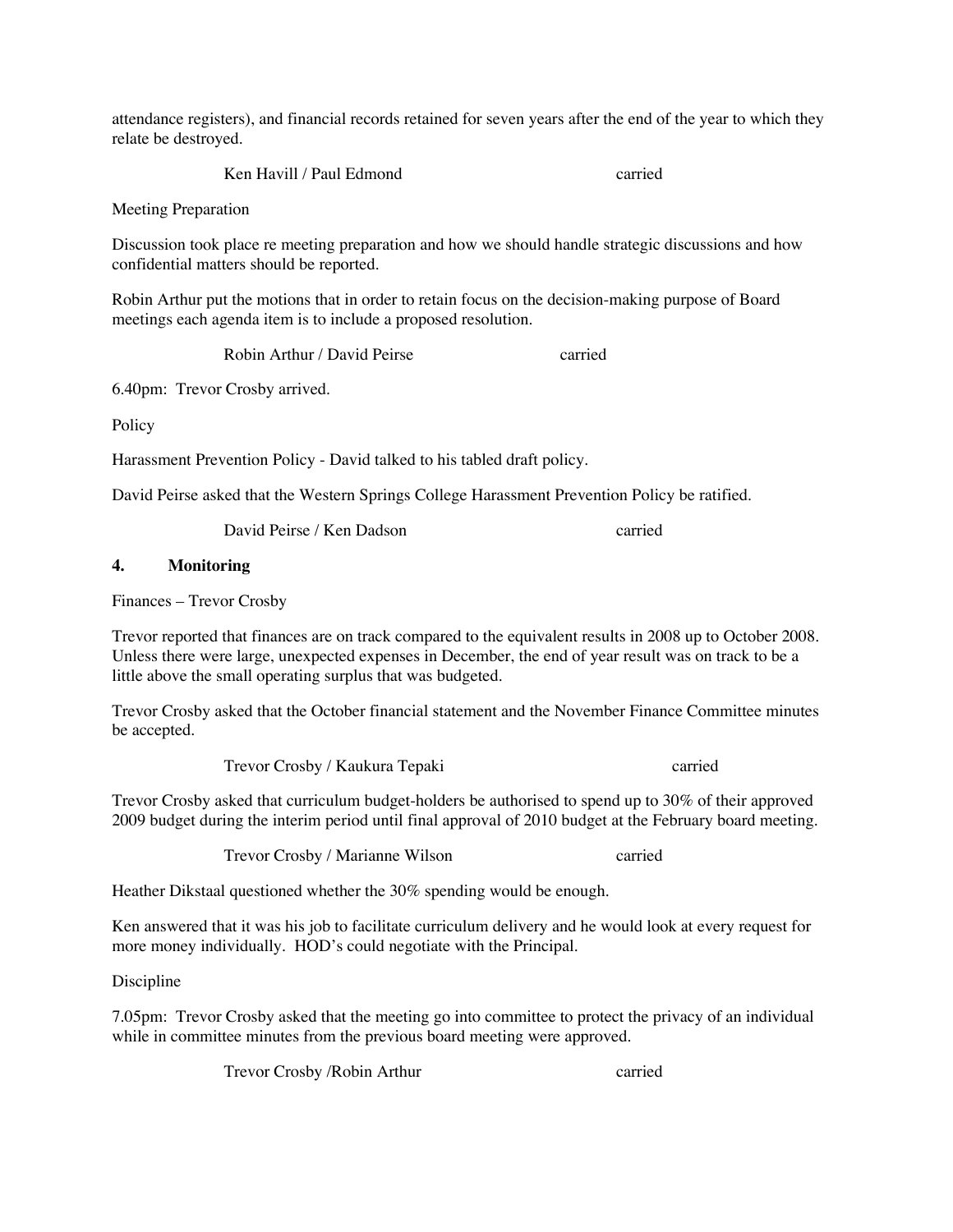attendance registers), and financial records retained for seven years after the end of the year to which they relate be destroyed.

Ken Havill / Paul Edmond carried

Meeting Preparation

Discussion took place re meeting preparation and how we should handle strategic discussions and how confidential matters should be reported.

Robin Arthur put the motions that in order to retain focus on the decision-making purpose of Board meetings each agenda item is to include a proposed resolution.

Robin Arthur / David Peirse carried

6.40pm: Trevor Crosby arrived.

**Policy** 

Harassment Prevention Policy - David talked to his tabled draft policy.

David Peirse asked that the Western Springs College Harassment Prevention Policy be ratified.

David Peirse / Ken Dadson carried

## **4. Monitoring**

Finances – Trevor Crosby

Trevor reported that finances are on track compared to the equivalent results in 2008 up to October 2008. Unless there were large, unexpected expenses in December, the end of year result was on track to be a little above the small operating surplus that was budgeted.

Trevor Crosby asked that the October financial statement and the November Finance Committee minutes be accepted.

Trevor Crosby / Kaukura Tepaki carried

Trevor Crosby asked that curriculum budget-holders be authorised to spend up to 30% of their approved 2009 budget during the interim period until final approval of 2010 budget at the February board meeting.

Trevor Crosby / Marianne Wilson carried

Heather Dikstaal questioned whether the 30% spending would be enough.

Ken answered that it was his job to facilitate curriculum delivery and he would look at every request for more money individually. HOD's could negotiate with the Principal.

Discipline

7.05pm: Trevor Crosby asked that the meeting go into committee to protect the privacy of an individual while in committee minutes from the previous board meeting were approved.

Trevor Crosby /Robin Arthur carried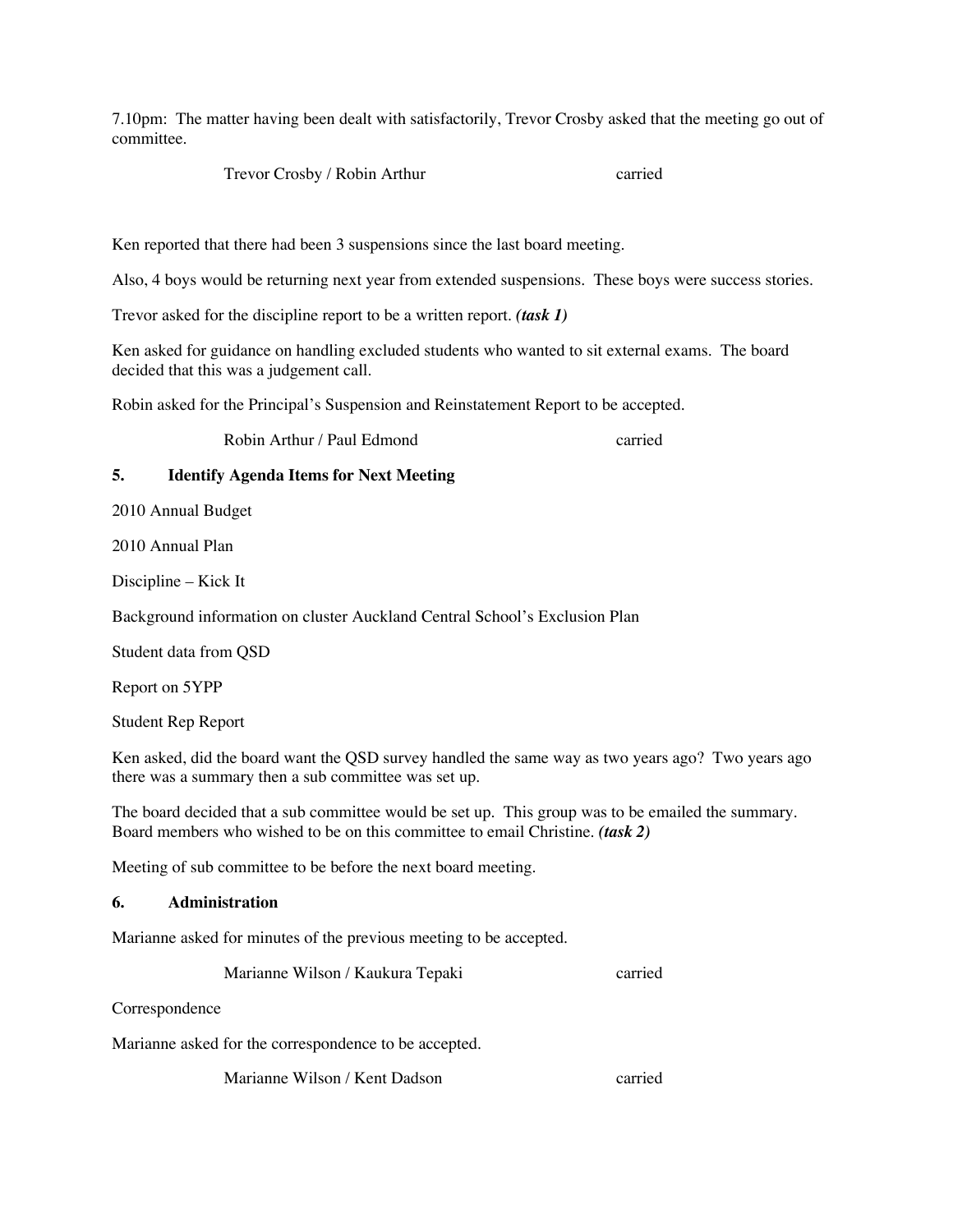7.10pm: The matter having been dealt with satisfactorily, Trevor Crosby asked that the meeting go out of committee.

Trevor Crosby / Robin Arthur carried

Ken reported that there had been 3 suspensions since the last board meeting.

Also, 4 boys would be returning next year from extended suspensions. These boys were success stories.

Trevor asked for the discipline report to be a written report. *(task 1)*

Ken asked for guidance on handling excluded students who wanted to sit external exams. The board decided that this was a judgement call.

Robin asked for the Principal's Suspension and Reinstatement Report to be accepted.

Robin Arthur / Paul Edmond carried

### **5. Identify Agenda Items for Next Meeting**

2010 Annual Budget

2010 Annual Plan

Discipline – Kick It

Background information on cluster Auckland Central School's Exclusion Plan

Student data from QSD

Report on 5YPP

Student Rep Report

Ken asked, did the board want the QSD survey handled the same way as two years ago? Two years ago there was a summary then a sub committee was set up.

The board decided that a sub committee would be set up. This group was to be emailed the summary. Board members who wished to be on this committee to email Christine. *(task 2)*

Meeting of sub committee to be before the next board meeting.

#### **6. Administration**

Marianne asked for minutes of the previous meeting to be accepted.

Marianne Wilson / Kaukura Tepaki carried

Correspondence

Marianne asked for the correspondence to be accepted.

Marianne Wilson / Kent Dadson carried